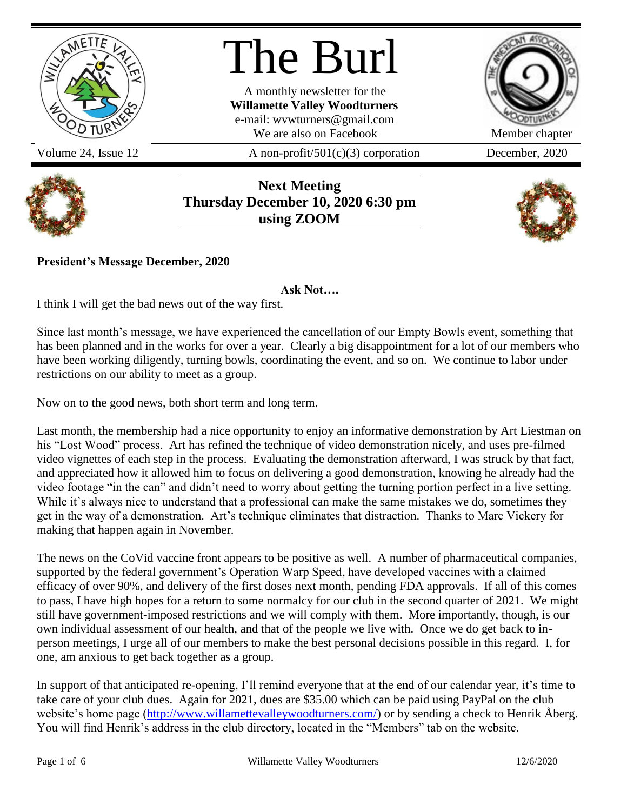

# The Burl

A monthly newsletter for the **Willamette Valley Woodturners** e-mail: wvwturners@gmail.com We are also on Facebook Member chapter

Volume 24, Issue 12  $A$  non-profit/501(c)(3) corporation December, 2020





**Next Meeting Thursday December 10, 2020 6:30 pm using ZOOM**



**President's Message December, 2020**

**Ask Not….**

I think I will get the bad news out of the way first.

Since last month's message, we have experienced the cancellation of our Empty Bowls event, something that has been planned and in the works for over a year. Clearly a big disappointment for a lot of our members who have been working diligently, turning bowls, coordinating the event, and so on. We continue to labor under restrictions on our ability to meet as a group.

Now on to the good news, both short term and long term.

Last month, the membership had a nice opportunity to enjoy an informative demonstration by Art Liestman on his "Lost Wood" process. Art has refined the technique of video demonstration nicely, and uses pre-filmed video vignettes of each step in the process. Evaluating the demonstration afterward, I was struck by that fact, and appreciated how it allowed him to focus on delivering a good demonstration, knowing he already had the video footage "in the can" and didn't need to worry about getting the turning portion perfect in a live setting. While it's always nice to understand that a professional can make the same mistakes we do, sometimes they get in the way of a demonstration. Art's technique eliminates that distraction. Thanks to Marc Vickery for making that happen again in November.

The news on the CoVid vaccine front appears to be positive as well. A number of pharmaceutical companies, supported by the federal government's Operation Warp Speed, have developed vaccines with a claimed efficacy of over 90%, and delivery of the first doses next month, pending FDA approvals. If all of this comes to pass, I have high hopes for a return to some normalcy for our club in the second quarter of 2021. We might still have government-imposed restrictions and we will comply with them. More importantly, though, is our own individual assessment of our health, and that of the people we live with. Once we do get back to inperson meetings, I urge all of our members to make the best personal decisions possible in this regard. I, for one, am anxious to get back together as a group.

In support of that anticipated re-opening, I'll remind everyone that at the end of our calendar year, it's time to take care of your club dues. Again for 2021, dues are \$35.00 which can be paid using PayPal on the club website's home page [\(http://www.willamettevalleywoodturners.com/\)](http://www.willamettevalleywoodturners.com/) or by sending a check to Henrik Åberg. You will find Henrik's address in the club directory, located in the "Members" tab on the website.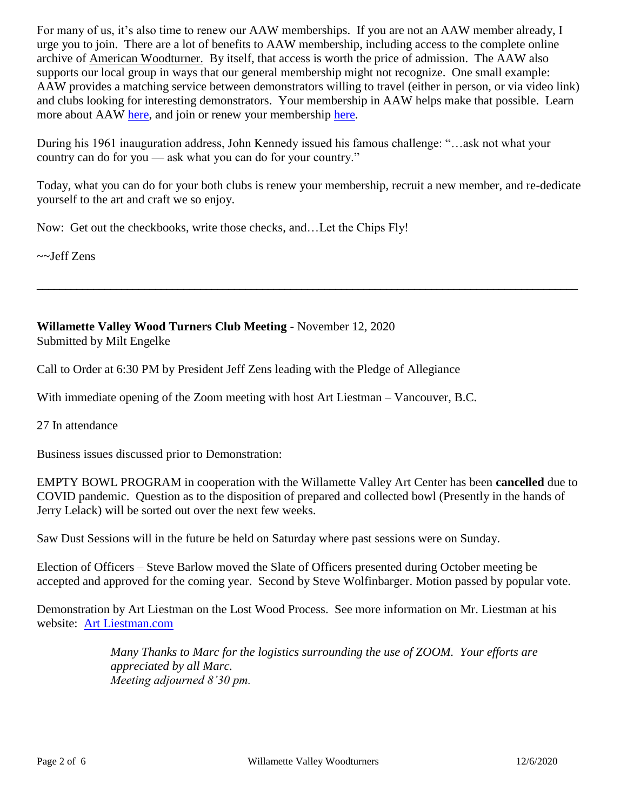For many of us, it's also time to renew our AAW memberships. If you are not an AAW member already, I urge you to join. There are a lot of benefits to AAW membership, including access to the complete online archive of American Woodturner. By itself, that access is worth the price of admission. The AAW also supports our local group in ways that our general membership might not recognize. One small example: AAW provides a matching service between demonstrators willing to travel (either in person, or via video link) and clubs looking for interesting demonstrators. Your membership in AAW helps make that possible. Learn more about AAW [here,](https://www.woodturner.org/page/JoinAAW) and join or renew your membership [here.](https://www.woodturner.org/Woodturner/Membership/Woodturner/Landing-Pages/Membership-Landing-Page.aspx?hkey=fa7a8cba-7884-4b5a-a5a2-ba3a39675e05)

During his 1961 inauguration address, John Kennedy issued his famous challenge: "…ask not what your country can do for you — ask what you can do for your country."

Today, what you can do for your both clubs is renew your membership, recruit a new member, and re-dedicate yourself to the art and craft we so enjoy.

\_\_\_\_\_\_\_\_\_\_\_\_\_\_\_\_\_\_\_\_\_\_\_\_\_\_\_\_\_\_\_\_\_\_\_\_\_\_\_\_\_\_\_\_\_\_\_\_\_\_\_\_\_\_\_\_\_\_\_\_\_\_\_\_\_\_\_\_\_\_\_\_\_\_\_\_\_\_\_\_\_\_\_\_\_\_\_\_\_\_\_\_\_\_\_\_

Now: Get out the checkbooks, write those checks, and…Let the Chips Fly!

~~Jeff Zens

**Willamette Valley Wood Turners Club Meeting** - November 12, 2020 Submitted by Milt Engelke

Call to Order at 6:30 PM by President Jeff Zens leading with the Pledge of Allegiance

With immediate opening of the Zoom meeting with host Art Liestman – Vancouver, B.C.

27 In attendance

Business issues discussed prior to Demonstration:

EMPTY BOWL PROGRAM in cooperation with the Willamette Valley Art Center has been **cancelled** due to COVID pandemic. Question as to the disposition of prepared and collected bowl (Presently in the hands of Jerry Lelack) will be sorted out over the next few weeks.

Saw Dust Sessions will in the future be held on Saturday where past sessions were on Sunday.

Election of Officers – Steve Barlow moved the Slate of Officers presented during October meeting be accepted and approved for the coming year. Second by Steve Wolfinbarger. Motion passed by popular vote.

Demonstration by Art Liestman on the Lost Wood Process. See more information on Mr. Liestman at his website: [Art Liestman.com](http://artliestman.com/) 

> *Many Thanks to Marc for the logistics surrounding the use of ZOOM. Your efforts are appreciated by all Marc. Meeting adjourned 8'30 pm.*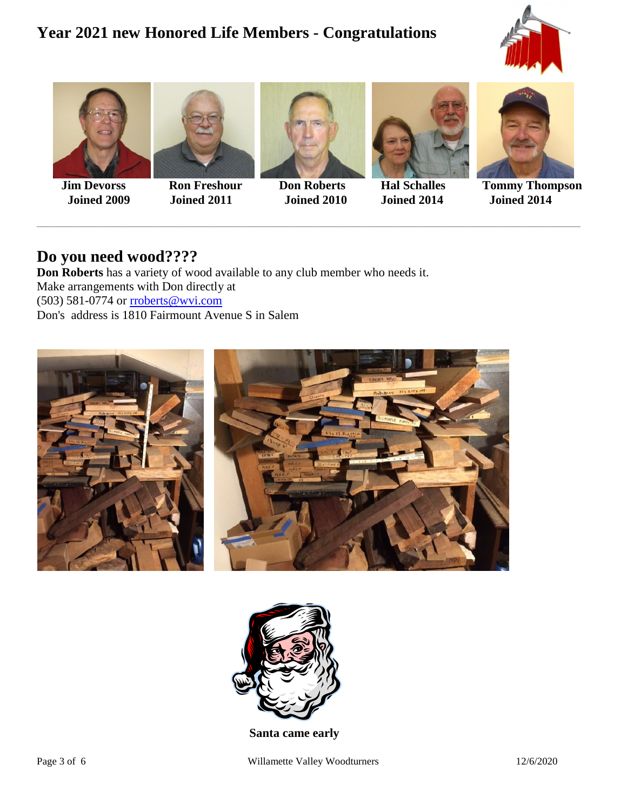## **Year 2021 new Honored Life Members - Congratulations**









\_\_\_\_\_\_\_\_\_\_\_\_\_\_\_\_\_\_\_\_\_\_\_\_\_\_\_\_\_\_\_\_\_\_\_\_\_\_\_\_\_\_\_\_\_\_\_\_\_\_\_\_\_\_\_\_\_\_\_\_\_\_\_\_\_\_\_\_\_\_\_\_\_\_\_\_\_\_\_\_\_\_\_\_\_\_\_\_\_\_\_\_\_\_\_\_\_\_\_\_\_\_\_\_\_\_\_\_\_\_\_\_\_\_\_\_\_\_\_\_\_\_\_\_\_\_\_\_\_\_\_\_\_\_\_\_\_\_\_\_\_\_\_\_\_\_\_\_\_\_\_\_\_\_\_\_\_\_\_\_\_\_\_\_\_\_\_\_\_\_\_\_\_\_\_\_\_





 **Jim Devorss Ron Freshour Don Roberts Hal Schalles Tommy Thompson Joined 2009 Joined 2011 Joined 2010 Joined 2014 Joined 2014**

## **Do you need wood????**

**Don Roberts** has a variety of wood available to any club member who needs it. Make arrangements with Don directly at (503) 581-0774 or [rroberts@wvi.com](mailto:rroberts@wvi.com) Don's address is 1810 Fairmount Avenue S in Salem





1**Santa came early**

Page 3 of 6 Willamette Valley Woodturners 12/6/2020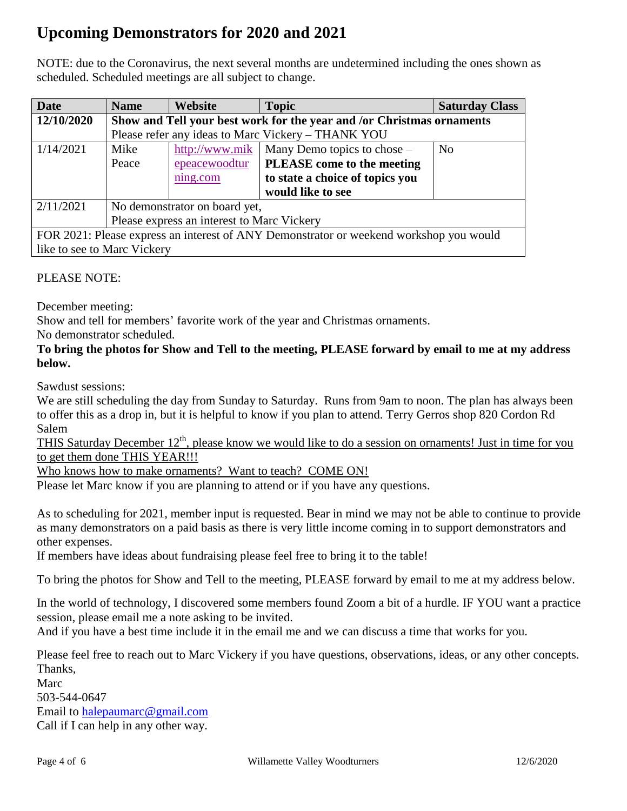# **Upcoming Demonstrators for 2020 and 2021**

NOTE: due to the Coronavirus, the next several months are undetermined including the ones shown as scheduled. Scheduled meetings are all subject to change.

| <b>Date</b>                                                                            | <b>Name</b>                                                           | Website        | <b>Topic</b>                    | <b>Saturday Class</b> |  |
|----------------------------------------------------------------------------------------|-----------------------------------------------------------------------|----------------|---------------------------------|-----------------------|--|
| 12/10/2020                                                                             | Show and Tell your best work for the year and /or Christmas ornaments |                |                                 |                       |  |
|                                                                                        | Please refer any ideas to Marc Vickery - THANK YOU                    |                |                                 |                       |  |
| 1/14/2021                                                                              | Mike                                                                  | http://www.mik | Many Demo topics to chose –     | N <sub>0</sub>        |  |
|                                                                                        | Peace                                                                 | epeacewoodtur  | PLEASE come to the meeting      |                       |  |
|                                                                                        |                                                                       | ning.com       | to state a choice of topics you |                       |  |
|                                                                                        |                                                                       |                | would like to see               |                       |  |
| 2/11/2021                                                                              | No demonstrator on board yet,                                         |                |                                 |                       |  |
|                                                                                        | Please express an interest to Marc Vickery                            |                |                                 |                       |  |
| FOR 2021: Please express an interest of ANY Demonstrator or weekend workshop you would |                                                                       |                |                                 |                       |  |
| like to see to Marc Vickery                                                            |                                                                       |                |                                 |                       |  |

#### PLEASE NOTE:

December meeting:

Show and tell for members' favorite work of the year and Christmas ornaments.

No demonstrator scheduled.

#### **To bring the photos for Show and Tell to the meeting, PLEASE forward by email to me at my address below.**

Sawdust sessions:

We are still scheduling the day from Sunday to Saturday. Runs from 9am to noon. The plan has always been to offer this as a drop in, but it is helpful to know if you plan to attend. Terry Gerros shop 820 Cordon Rd Salem

THIS Saturday December  $12<sup>th</sup>$ , please know we would like to do a session on ornaments! Just in time for you to get them done THIS YEAR!!!

Who knows how to make ornaments? Want to teach? COME ON!

Please let Marc know if you are planning to attend or if you have any questions.

As to scheduling for 2021, member input is requested. Bear in mind we may not be able to continue to provide as many demonstrators on a paid basis as there is very little income coming in to support demonstrators and other expenses.

If members have ideas about fundraising please feel free to bring it to the table!

To bring the photos for Show and Tell to the meeting, PLEASE forward by email to me at my address below.

In the world of technology, I discovered some members found Zoom a bit of a hurdle. IF YOU want a practice session, please email me a note asking to be invited.

And if you have a best time include it in the email me and we can discuss a time that works for you.

Please feel free to reach out to Marc Vickery if you have questions, observations, ideas, or any other concepts. Thanks,

Marc 503-544-0647 Email to [halepaumarc@gmail.com](mailto:halepaumarc@gmail.com) Call if I can help in any other way.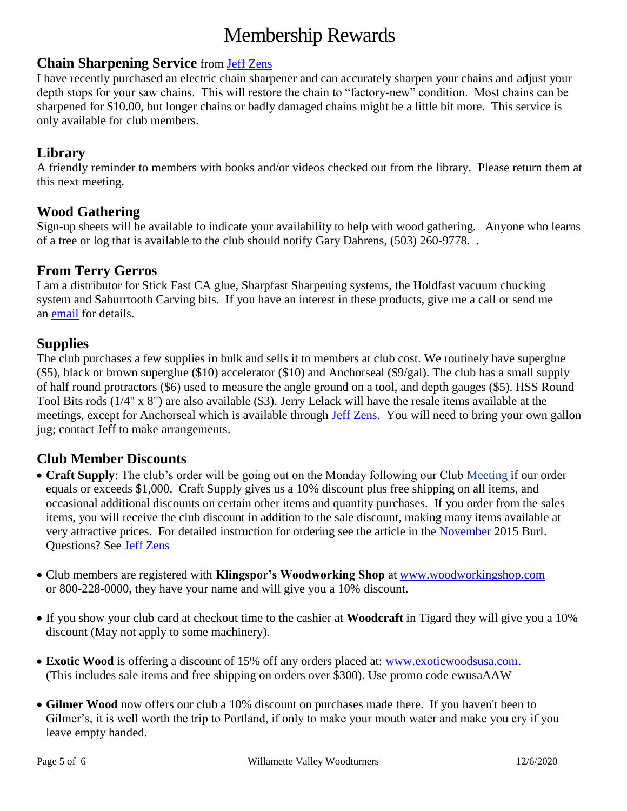# Membership Rewards

#### **Chain Sharpening Service** from [Jeff Zens](mailto:PrezWVW@gmail.com)

I have recently purchased an electric chain sharpener and can accurately sharpen your chains and adjust your depth stops for your saw chains. This will restore the chain to "factory-new" condition. Most chains can be sharpened for \$10.00, but longer chains or badly damaged chains might be a little bit more. This service is only available for club members.

## **Library**

A friendly reminder to members with books and/or videos checked out from the library. Please return them at this next meeting.

## **Wood Gathering**

Sign-up sheets will be available to indicate your availability to help with wood gathering. Anyone who learns of a tree or log that is available to the club should notify Gary Dahrens, (503) 260-9778. .

#### **From Terry Gerros**

I am a distributor for Stick Fast CA glue, Sharpfast Sharpening systems, the Holdfast vacuum chucking system and Saburrtooth Carving bits. If you have an interest in these products, give me a call or send me an [email](mailto:gerrost@yahoo.com) for details.

## **Supplies**

The club purchases a few supplies in bulk and sells it to members at club cost. We routinely have superglue (\$5), black or brown superglue (\$10) accelerator (\$10) and Anchorseal (\$9/gal). The club has a small supply of half round protractors (\$6) used to measure the angle ground on a tool, and depth gauges (\$5). HSS Round Tool Bits rods (1/4" x 8") are also available (\$3). Jerry Lelack will have the resale items available at the meetings, except for Anchorseal which is available through [Jeff Zens.](mailto:PrezWVW@gmail.com) You will need to bring your own gallon jug; contact Jeff to make arrangements.

## **Club Member Discounts**

- **Craft Supply**: The club's order will be going out on the Monday following our Club Meeting if our order equals or exceeds \$1,000. Craft Supply gives us a 10% discount plus free shipping on all items, and occasional additional discounts on certain other items and quantity purchases. If you order from the sales items, you will receive the club discount in addition to the sale discount, making many items available at very attractive prices. For detailed instruction for ordering see the article in the [November](http://www.willamettevalleywoodturners.com/newsletters/2015_11_WVW_Newsletter.pdf) 2015 Burl. Questions? See [Jeff Zens](mailto:PrezWVW@gmail.com)
- Club members are registered with **Klingspor's Woodworking Shop** at [www.woodworkingshop.com](http://www.woodworkingshop.com/)  or 800-228-0000, they have your name and will give you a 10% discount.
- If you show your club card at checkout time to the cashier at **Woodcraft** in Tigard they will give you a 10% discount (May not apply to some machinery).
- **Exotic Wood** is offering a discount of 15% off any orders placed at: [www.exoticwoodsusa.com.](http://www.exoticwoodsusa.com/) (This includes sale items and free shipping on orders over \$300). Use promo code ewusaAAW
- **Gilmer Wood** now offers our club a 10% discount on purchases made there. If you haven't been to Gilmer's, it is well worth the trip to Portland, if only to make your mouth water and make you cry if you leave empty handed.